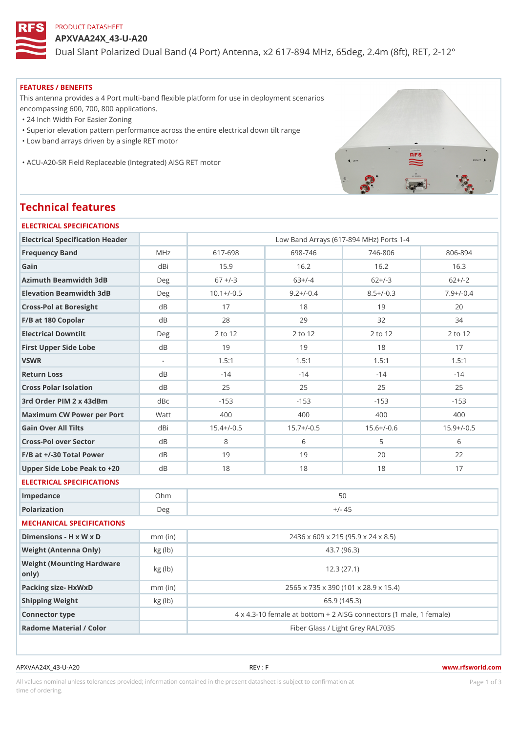## PRODUCT DATASHEET

APXVAA24X\_43-U-A20

Dual Slant Polarized Dual Band (4 Port) Antenna, x2 617-894 MHz, 65d

#### FEATURES / BENEFITS

This antenna provides a 4 Port multi-band flexible platform for use in deployment scenarios encompassing 600, 700, 800 applications.

"24 Inch Width For Easier Zoning

"Superior elevation pattern performance across the entire electrical down tilt range

"Low band arrays driven by a single RET motor

"ACU-A20-SR Field Replaceable (Integrated) AISG RET motor

# Technical features

| ELECTRICAL SPECIFICATIONS                  |               |                                                         |                                      |                |              |  |  |  |  |
|--------------------------------------------|---------------|---------------------------------------------------------|--------------------------------------|----------------|--------------|--|--|--|--|
| Electrical Specification Header            |               | Low Band Arrays (617-894 MHz) Ports 1-4                 |                                      |                |              |  |  |  |  |
| Frequency Band                             | M H z         | $617 - 698$                                             | 698-746                              | $746 - 806$    | 806-894      |  |  |  |  |
| Gain                                       | dBi           | 15.9                                                    | 16.2                                 | 16.2           | 16.3         |  |  |  |  |
| Azimuth Beamwidth 3dB                      | Deg           | $67 + (-3)$                                             | $63+/-4$                             | $62+/-3$       | $62+/-2$     |  |  |  |  |
| Elevation Beamwidth 3dB                    | Deg           | $10.1+/-0.5$                                            | $9.2 + / -0.4$                       | $8.5 + (-0.3)$ | $7.9+/-0.4$  |  |  |  |  |
| Cross-Pol at Boresight                     | d B           | 17                                                      | 18                                   | 19             | 20           |  |  |  |  |
| F/B at 180 Copolar                         | d B           | 28                                                      | 29                                   | 32             | 34           |  |  |  |  |
| Electrical Downtilt                        | Deg           | 2 to 12                                                 | 2 to 12                              | 2 to 12        | 2 to 12      |  |  |  |  |
| First Upper Side Lobe                      | d B           | 19                                                      | 19                                   | 18             | 17           |  |  |  |  |
| VSWR                                       |               | 1.5:1                                                   | 1.5:1                                | 1.5:1          | 1.5:1        |  |  |  |  |
| Return Loss                                | d B           | $-14$                                                   | $-14$                                | $-14$          | $-14$        |  |  |  |  |
| Cross Polar Isolation                      | d B           | 25                                                      | 25                                   | 25             | 25           |  |  |  |  |
| 3rd Order PIM 2 x 43dBm                    | dBc           | $-153$                                                  | $-153$                               | $-153$         | $-153$       |  |  |  |  |
| Maximum CW Power per Por Matt              |               | 400                                                     | 400                                  | 400            | 400          |  |  |  |  |
| Gain Over All Tilts                        | dBi           | $15.4+/-0.5$                                            | $15.7+/-0.5$                         | $15.6+/-0.6$   | $15.9+/-0.5$ |  |  |  |  |
| Cross-Pol over Sector                      | d B           | 8                                                       | 6                                    | 5              | 6            |  |  |  |  |
| $F/B$ at $+/-30$ Total Power               | $d \, B$      | 19                                                      | 19                                   | 20             | 22           |  |  |  |  |
| Upper Side Lobe Peak to +20B               |               | 18                                                      | 18                                   | 18             | 17           |  |  |  |  |
| ELECTRICAL SPECIFICATIONS                  |               |                                                         |                                      |                |              |  |  |  |  |
| Impedance                                  | $Oh$ m        | 50                                                      |                                      |                |              |  |  |  |  |
| Polarization                               | Deg           | $+/- 45$                                                |                                      |                |              |  |  |  |  |
| MECHANICAL SPECIFICATIONS                  |               |                                                         |                                      |                |              |  |  |  |  |
| Dimensions - H x W x D                     | $mm$ (in)     | 2436 x 609 x 215 (95.9 x 24 x 8.5)                      |                                      |                |              |  |  |  |  |
| Weight (Antenna Only)                      | kg(lb)        | 43.7 (96.3)                                             |                                      |                |              |  |  |  |  |
| Weight (Mounting Hardware kg (lb)<br>only) |               | 12.3(27.1)                                              |                                      |                |              |  |  |  |  |
| Packing size- HxWxD                        | $mm$ (in)     |                                                         | 2565 x 735 x 390 (101 x 28.9 x 15.4) |                |              |  |  |  |  |
| Shipping Weight                            | $kg$ ( $lb$ ) | 65.9 (145.3)                                            |                                      |                |              |  |  |  |  |
| Connector type                             |               | 4 x 4.3-10 female at bottom + 2 AISG connectors (1 male |                                      |                |              |  |  |  |  |
| Radome Material / Color                    |               | Fiber Glass / Light Grey RAL7035                        |                                      |                |              |  |  |  |  |
|                                            |               |                                                         |                                      |                |              |  |  |  |  |

APXVAA24X\_43-U-A20 REV : F www.rfsworld.com

All values nominal unless tolerances provided; information contained in the present datasheet is subject to PcaogneionIm atio time of ordering.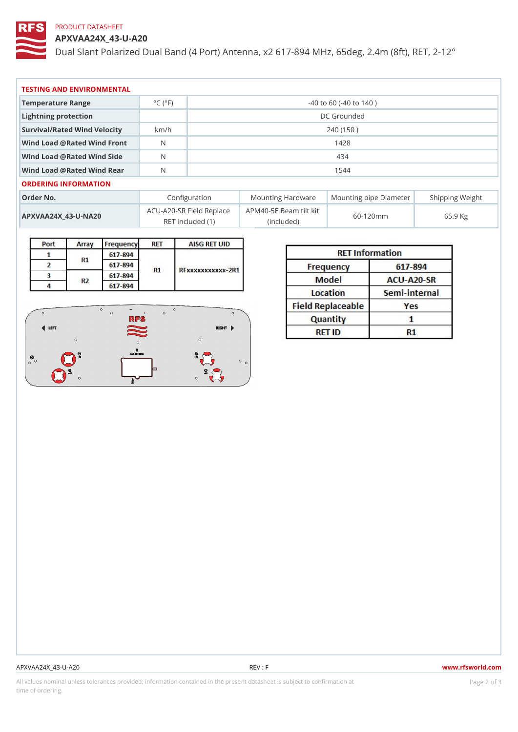# PRODUCT DATASHEET

APXVAA24X\_43-U-A20

Dual Slant Polarized Dual Band (4 Port) Antenna, x2 617-894 MHz, 65d

| TESTING AND ENVIRONMENTAL      |                                     |                             |  |  |  |  |
|--------------------------------|-------------------------------------|-----------------------------|--|--|--|--|
| Temperature Range              | $^{\circ}$ C ( $^{\circ}$ F $\vert$ | $-40$ to 60 ( $-40$ to 140) |  |  |  |  |
| Lightning protection           |                                     | DC Grounded                 |  |  |  |  |
| Survival/Rated Wind Velocikm/h |                                     | 240 (150)                   |  |  |  |  |
| Wind Load @ Rated Wind Front   |                                     | 1428                        |  |  |  |  |
| Wind Load @ Rated Wind Sidb    |                                     | 434                         |  |  |  |  |
| Wind Load @ Rated Wind ReaN    |                                     | 1544                        |  |  |  |  |
| ORDERING INFORMATION           |                                     |                             |  |  |  |  |

| Order No.             | Configuration                                                               |            | Mounting HardwaMeunting pipe DiameStheirpping Weight |
|-----------------------|-----------------------------------------------------------------------------|------------|------------------------------------------------------|
| $APXVAA24X_43-U-NA20$ | $ACU-A20-SR$ Field $RBM4@-5E$ Beam tilt kit $60-120$ mm<br>RET included (1) | (included) | 65.9 Kg                                              |